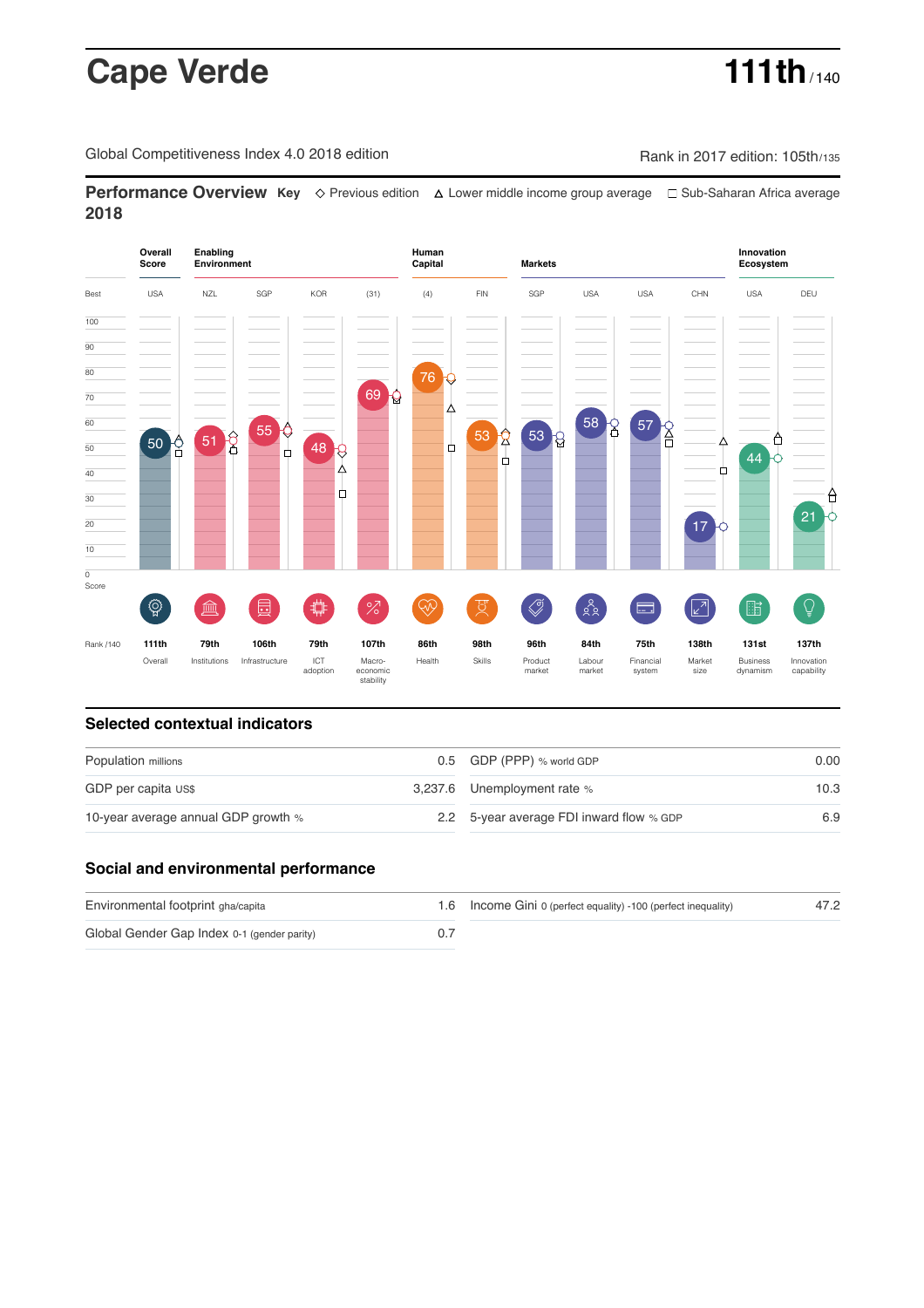# **Cape Verde 111th** / 140

Global Competitiveness Index 4.0 2018 edition Rank in 2017 edition: 105th/135

**Performance Overview Key** Previous edition Lower middle income group average Sub-Saharan Africa average **2018**



### **Selected contextual indicators**

| Population millions                 |  | 0.5 GDP (PPP) % world GDP                | 0.00 |  |
|-------------------------------------|--|------------------------------------------|------|--|
| GDP per capita US\$                 |  | 3,237.6 Unemployment rate %              | 10.3 |  |
| 10-year average annual GDP growth % |  | 2.2 5-year average FDI inward flow % GDP | 6.9  |  |

### **Social and environmental performance**

| Environmental footprint gha/capita          | 1.6 Income Gini 0 (perfect equality) -100 (perfect inequality) | 47.2 |
|---------------------------------------------|----------------------------------------------------------------|------|
| Global Gender Gap Index 0-1 (gender parity) |                                                                |      |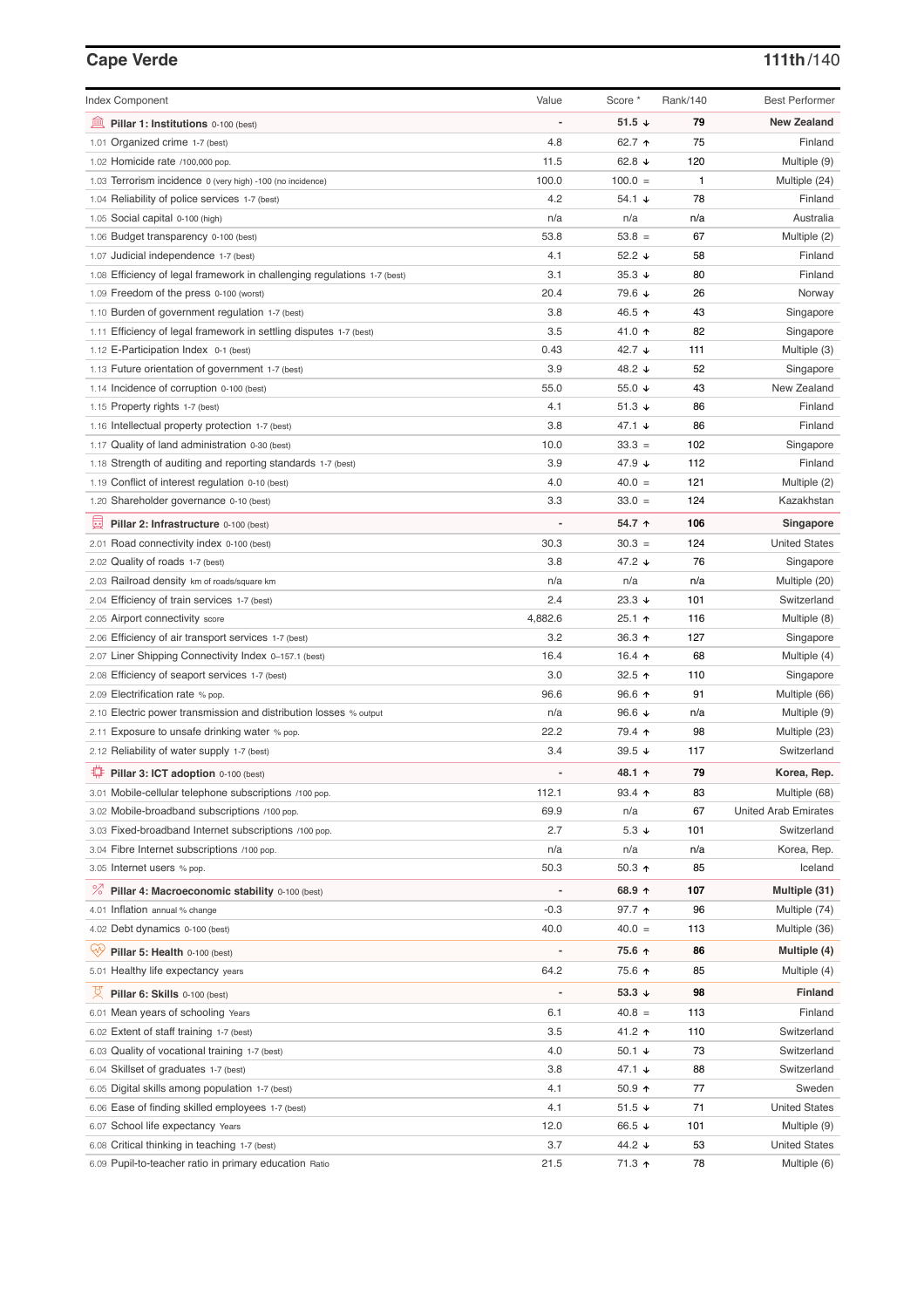# **Cape Verde 111th**/140

| <b>Index Component</b>                                                   | Value                        | Score *          | Rank/140 | <b>Best Performer</b>       |
|--------------------------------------------------------------------------|------------------------------|------------------|----------|-----------------------------|
| 寙<br>Pillar 1: Institutions 0-100 (best)                                 |                              | 51.5 $\sqrt{ }$  | 79       | <b>New Zealand</b>          |
| Organized crime 1-7 (best)<br>1.01                                       | 4.8                          | 62.7 ↑           | 75       | Finland                     |
| 1.02 Homicide rate /100,000 pop.                                         | 11.5                         | 62.8 $\sqrt{ }$  | 120      | Multiple (9)                |
| 1.03 Terrorism incidence 0 (very high) -100 (no incidence)               | 100.0                        | $100.0 =$        | 1        | Multiple (24)               |
| 1.04 Reliability of police services 1-7 (best)                           | 4.2                          | $54.1 +$         | 78       | Finland                     |
| 1.05 Social capital 0-100 (high)                                         | n/a                          | n/a              | n/a      | Australia                   |
| 1.06 Budget transparency 0-100 (best)                                    | 53.8                         | $53.8 =$         | 67       | Multiple (2)                |
| 1.07 Judicial independence 1-7 (best)                                    | 4.1                          | 52.2 ↓           | 58       | Finland                     |
| 1.08 Efficiency of legal framework in challenging regulations 1-7 (best) | 3.1                          | $35.3 +$         | 80       | Finland                     |
| 1.09 Freedom of the press 0-100 (worst)                                  | 20.4                         | 79.6 ↓           | 26       | Norway                      |
| 1.10 Burden of government regulation 1-7 (best)                          | 3.8                          | 46.5 ↑           | 43       | Singapore                   |
| 1.11 Efficiency of legal framework in settling disputes 1-7 (best)       | 3.5                          | 41.0 ↑           | 82       | Singapore                   |
| 1.12 E-Participation Index 0-1 (best)                                    | 0.43                         | 42.7 ↓           | 111      | Multiple (3)                |
| 1.13 Future orientation of government 1-7 (best)                         | 3.9                          | 48.2 ↓           | 52       | Singapore                   |
| 1.14 Incidence of corruption 0-100 (best)                                | 55.0                         | 55.0 $\sqrt{ }$  | 43       | New Zealand                 |
| 1.15 Property rights 1-7 (best)                                          | 4.1                          | 51.3 $\sqrt{ }$  | 86       | Finland                     |
| 1.16 Intellectual property protection 1-7 (best)                         | 3.8                          | 47.1 $\sqrt{ }$  | 86       | Finland                     |
| 1.17 Quality of land administration 0-30 (best)                          | 10.0                         | $33.3 =$         | 102      | Singapore                   |
| 1.18 Strength of auditing and reporting standards 1-7 (best)             | 3.9                          | 47.9 ↓           | 112      | Finland                     |
| 1.19 Conflict of interest regulation 0-10 (best)                         | 4.0                          | $40.0 =$         | 121      | Multiple (2)                |
| 1.20 Shareholder governance 0-10 (best)                                  | 3.3                          | $33.0 =$         | 124      | Kazakhstan                  |
| 員<br>Pillar 2: Infrastructure 0-100 (best)                               |                              | 54.7 ↑           | 106      | Singapore                   |
| 2.01 Road connectivity index 0-100 (best)                                | 30.3                         | $30.3 =$         | 124      | <b>United States</b>        |
| 2.02 Quality of roads 1-7 (best)                                         | 3.8                          | 47.2 ↓           | 76       | Singapore                   |
| 2.03 Railroad density km of roads/square km                              | n/a                          | n/a              | n/a      | Multiple (20)               |
| 2.04 Efficiency of train services 1-7 (best)                             | 2.4                          | 23.3 $\sqrt{ }$  | 101      | Switzerland                 |
| 2.05 Airport connectivity score                                          | 4,882.6                      | 25.1 ↑           | 116      | Multiple (8)                |
| 2.06 Efficiency of air transport services 1-7 (best)                     | 3.2                          | 36.3 ↑           | 127      | Singapore                   |
| 2.07 Liner Shipping Connectivity Index 0-157.1 (best)                    | 16.4                         | 16.4 $\uparrow$  | 68       | Multiple (4)                |
| 2.08 Efficiency of seaport services 1-7 (best)                           | 3.0                          | 32.5 $\uparrow$  | 110      | Singapore                   |
| 2.09 Electrification rate % pop.                                         | 96.6                         | 96.6 $\uparrow$  | 91       | Multiple (66)               |
| 2.10 Electric power transmission and distribution losses % output        | n/a                          | 96.6 $\sqrt{ }$  | n/a      | Multiple (9)                |
| 2.11 Exposure to unsafe drinking water % pop.                            | 22.2                         | $79.4$ 1         | 98       | Multiple (23)               |
| 2.12 Reliability of water supply 1-7 (best)                              | 3.4                          | 39.5 ↓           | 117      | Switzerland                 |
| O<br>Pillar 3: ICT adoption 0-100 (best)                                 |                              | 48.1 ↑           | 79       | Korea, Rep.                 |
| 3.01 Mobile-cellular telephone subscriptions /100 pop.                   | 112.1                        | $93.4$ 1         | 83       | Multiple (68)               |
| 3.02 Mobile-broadband subscriptions /100 pop.                            | 69.9                         | n/a              | 67       | <b>United Arab Emirates</b> |
| 3.03 Fixed-broadband Internet subscriptions /100 pop.                    | 2.7                          | $5.3 \downarrow$ | 101      | Switzerland                 |
| 3.04 Fibre Internet subscriptions /100 pop.                              | n/a                          | n/a              | n/a      | Korea, Rep.                 |
| 3.05 Internet users % pop.                                               | 50.3                         | $50.3$ ↑         | 85       | Iceland                     |
| ℅<br>Pillar 4: Macroeconomic stability 0-100 (best)                      | $\qquad \qquad \blacksquare$ | 68.9 ↑           | 107      | Multiple (31)               |
| 4.01 Inflation annual % change                                           | $-0.3$                       | $97.7$ ↑         | 96       | Multiple (74)               |
| 4.02 Debt dynamics 0-100 (best)                                          | 40.0                         | $40.0 =$         | 113      | Multiple (36)               |
| Qv<br>Pillar 5: Health 0-100 (best)                                      | $\overline{a}$               | 75.6 ↑           | 86       | Multiple (4)                |
| 5.01 Healthy life expectancy years                                       | 64.2                         | 75.6 个           | 85       | Multiple (4)                |
|                                                                          |                              |                  |          |                             |
| 섯<br>Pillar 6: Skills 0-100 (best)                                       | $\overline{a}$               | 53.3 $\sqrt{ }$  | 98       | Finland                     |
| 6.01 Mean years of schooling Years                                       | 6.1                          | $40.8 =$         | 113      | Finland                     |
| 6.02 Extent of staff training 1-7 (best)                                 | 3.5                          | 41.2 ↑           | 110      | Switzerland                 |
| 6.03 Quality of vocational training 1-7 (best)                           | 4.0                          | 50.1 $\sqrt{ }$  | 73       | Switzerland                 |
| 6.04 Skillset of graduates 1-7 (best)                                    | 3.8                          | 47.1 ↓           | 88       | Switzerland                 |
| 6.05 Digital skills among population 1-7 (best)                          | 4.1                          | $50.9$ 1         | 77       | Sweden                      |
| 6.06 Ease of finding skilled employees 1-7 (best)                        | 4.1                          | $51.5 +$         | 71       | <b>United States</b>        |
| 6.07 School life expectancy Years                                        | 12.0                         | 66.5 ↓           | 101      | Multiple (9)                |
| 6.08 Critical thinking in teaching 1-7 (best)                            | 3.7                          | 44.2 ↓           | 53       | <b>United States</b>        |
| 6.09 Pupil-to-teacher ratio in primary education Ratio                   | 21.5                         | 71.3 ↑           | 78       | Multiple (6)                |